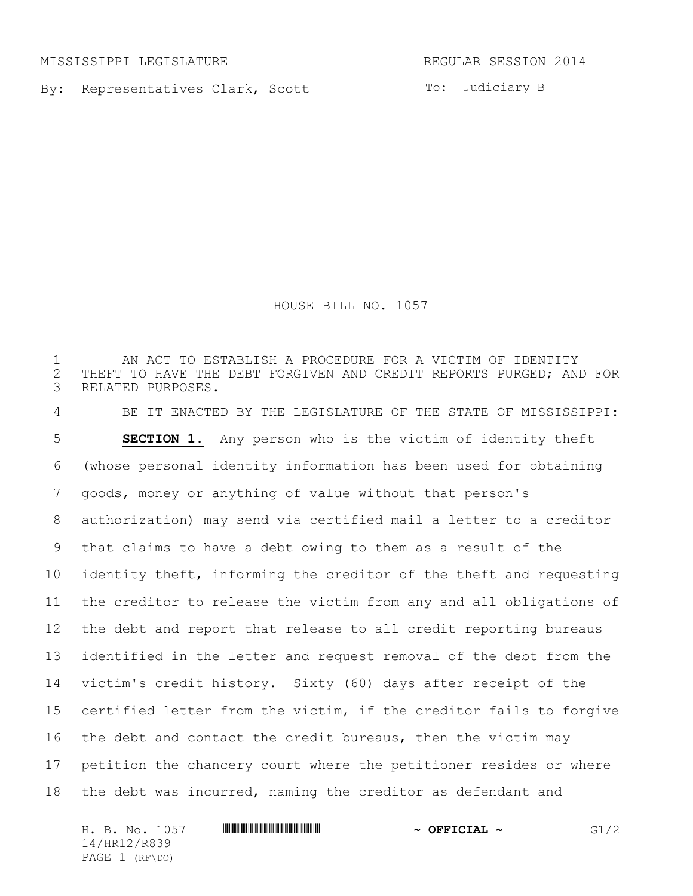MISSISSIPPI LEGISLATURE **REGULAR SESSION 2014** 

By: Representatives Clark, Scott

To: Judiciary B

HOUSE BILL NO. 1057

 AN ACT TO ESTABLISH A PROCEDURE FOR A VICTIM OF IDENTITY 2 THEFT TO HAVE THE DEBT FORGIVEN AND CREDIT REPORTS PURGED; AND FOR<br>3 RELATED PURPOSES. RELATED PURPOSES. BE IT ENACTED BY THE LEGISLATURE OF THE STATE OF MISSISSIPPI: **SECTION 1.** Any person who is the victim of identity theft (whose personal identity information has been used for obtaining goods, money or anything of value without that person's authorization) may send via certified mail a letter to a creditor that claims to have a debt owing to them as a result of the identity theft, informing the creditor of the theft and requesting the creditor to release the victim from any and all obligations of the debt and report that release to all credit reporting bureaus identified in the letter and request removal of the debt from the victim's credit history. Sixty (60) days after receipt of the certified letter from the victim, if the creditor fails to forgive 16 the debt and contact the credit bureaus, then the victim may petition the chancery court where the petitioner resides or where the debt was incurred, naming the creditor as defendant and

H. B. No. 1057 **\*\*\* AN ALL ASSESSESSES AND A SET OFFICIAL ~** G1/2 14/HR12/R839 PAGE 1 (RF\DO)